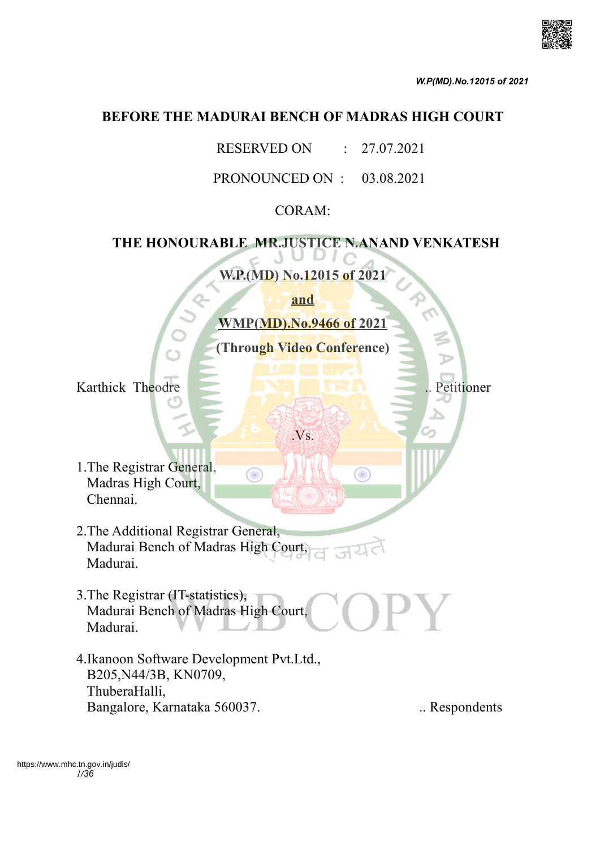

### **BEFORE THE MADURAI BENCH OF MADRAS HIGH COURT**

RESERVED ON : 27.07.2021

PRONOUNCED ON : 03.08.2021

## CORAM:

# **THE HONOURABLE MR.JUSTICE N.ANAND VENKATESH**

**W.P.(MD) No.12015 of 2021 and WMP(MD).No.9466 of 2021 (Through Video Conference)** Karthick Theodre .. Petitioner .Vs. 1.The Registrar General, ◉ Œ Madras High Court, Chennai. 2.The Additional Registrar General, Madurai Bench of Madras High Court, Madurai. 3.The Registrar (IT-statistics), Madurai Bench of Madras High Court, Madurai. 4.Ikanoon Software Development Pvt.Ltd., B205,N44/3B, KN0709, ThuberaHalli, Bangalore, Karnataka 560037. ... Respondents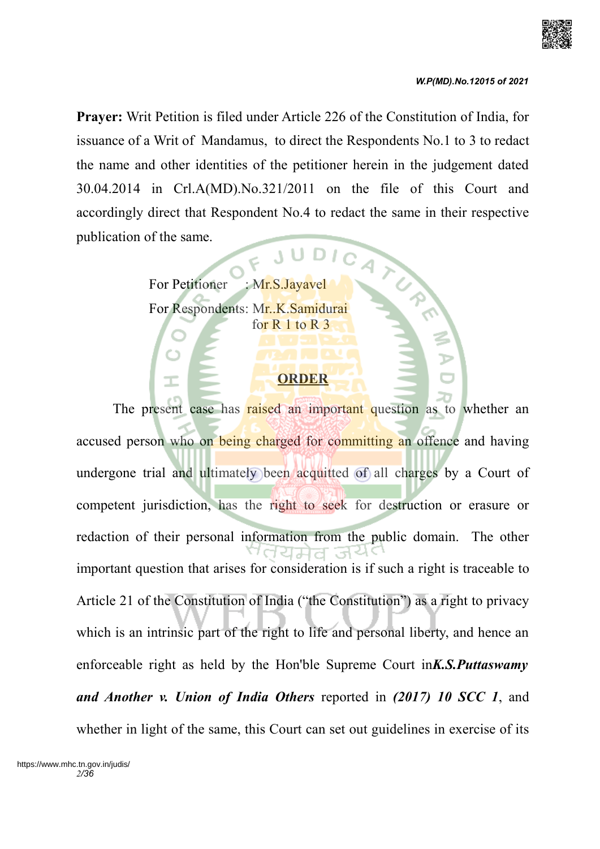

**Prayer:** Writ Petition is filed under Article 226 of the Constitution of India, for issuance of a Writ of Mandamus, to direct the Respondents No.1 to 3 to redact the name and other identities of the petitioner herein in the judgement dated 30.04.2014 in Crl.A(MD).No.321/2011 on the file of this Court and accordingly direct that Respondent No.4 to redact the same in their respective publication of the same. JUDICA

> For Petitioner : Mr.S.Jayavel For Respondents: Mr..K.Samidurai for R 1 to R 3

## **ORDER**

The present case has raised an important question as to whether an accused person who on being charged for committing an offence and having undergone trial and ultimately been acquitted of all charges by a Court of competent jurisdiction, has the right to seek for destruction or erasure or redaction of their personal information from the public domain. The other ਵਿਸਰ important question that arises for consideration is if such a right is traceable to Article 21 of the Constitution of India ("the Constitution") as a right to privacy which is an intrinsic part of the right to life and personal liberty, and hence an enforceable right as held by the Hon'ble Supreme Court in*K.S.Puttaswamy and Another v. Union of India Others* reported in *(2017) 10 SCC 1*, and whether in light of the same, this Court can set out guidelines in exercise of its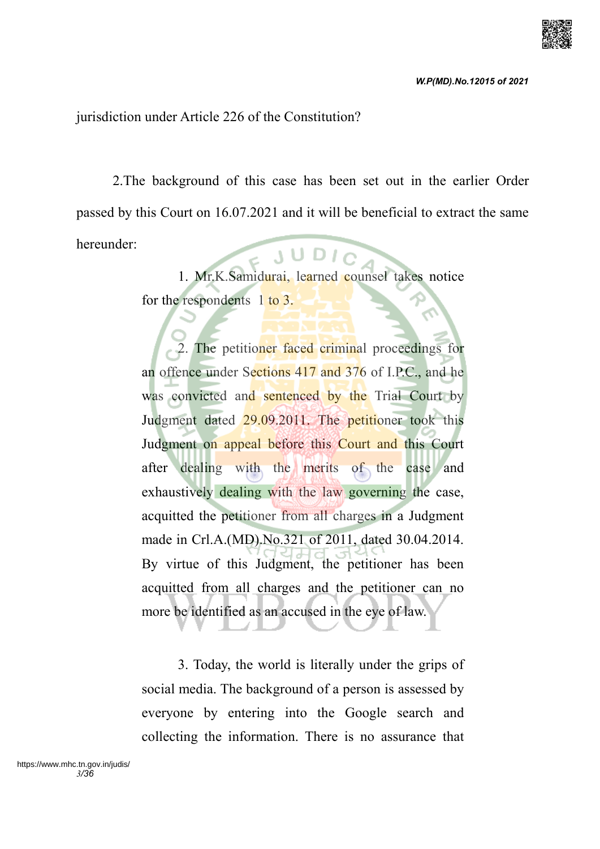jurisdiction under Article 226 of the Constitution?

2.The background of this case has been set out in the earlier Order passed by this Court on 16.07.2021 and it will be beneficial to extract the same hereunder:  $5 \text{ y } \text{0} \text{ y}$ 

1. Mr.K.Samidurai, learned counsel takes notice for the respondents 1 to 3.

2. The petitioner faced criminal proceedings for an offence under Sections 417 and 376 of I.P.C., and he was convicted and sentenced by the Trial Court by Judgment dated 29.09.2011. The petitioner took this Judgment on appeal before this Court and this Court after dealing with the merits of the case and exhaustively dealing with the law governing the case, acquitted the petitioner from all charges in a Judgment made in Crl.A.(MD).No.321 of 2011, dated 30.04.2014. By virtue of this Judgment, the petitioner has been acquitted from all charges and the petitioner can no more be identified as an accused in the eye of law.

3. Today, the world is literally under the grips of social media. The background of a person is assessed by everyone by entering into the Google search and collecting the information. There is no assurance that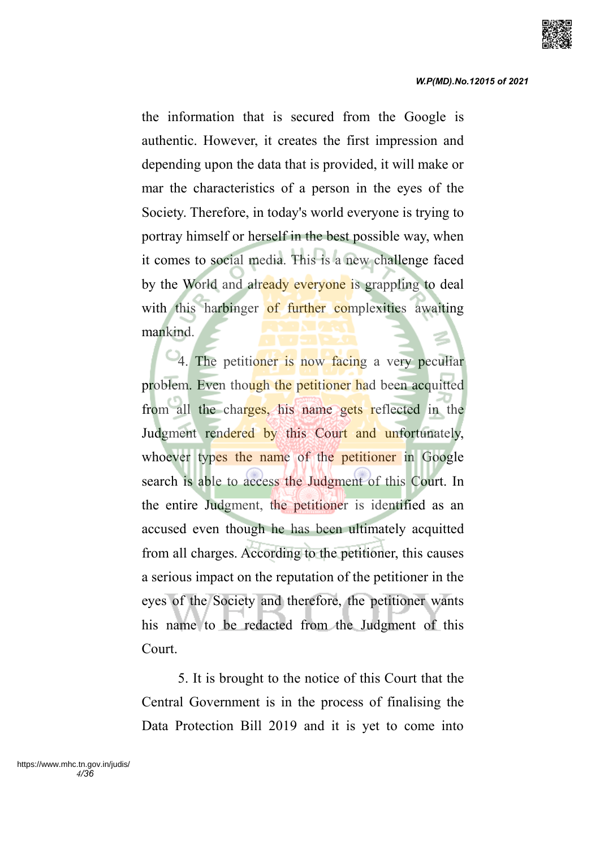

the information that is secured from the Google is authentic. However, it creates the first impression and depending upon the data that is provided, it will make or mar the characteristics of a person in the eyes of the Society. Therefore, in today's world everyone is trying to portray himself or herself in the best possible way, when it comes to social media. This is a new challenge faced by the World and already everyone is grappling to deal with this harbinger of further complexities awaiting mankind.

4. The petitioner is now facing a very peculiar problem. Even though the petitioner had been acquitted from all the charges, his name gets reflected in the Judgment rendered by this Court and unfortunately, whoever types the name of the petitioner in Google search is able to access the Judgment of this Court. In the entire Judgment, the petitioner is identified as an accused even though he has been ultimately acquitted from all charges. According to the petitioner, this causes a serious impact on the reputation of the petitioner in the eyes of the Society and therefore, the petitioner wants his name to be redacted from the Judgment of this Court.

5. It is brought to the notice of this Court that the Central Government is in the process of finalising the Data Protection Bill 2019 and it is yet to come into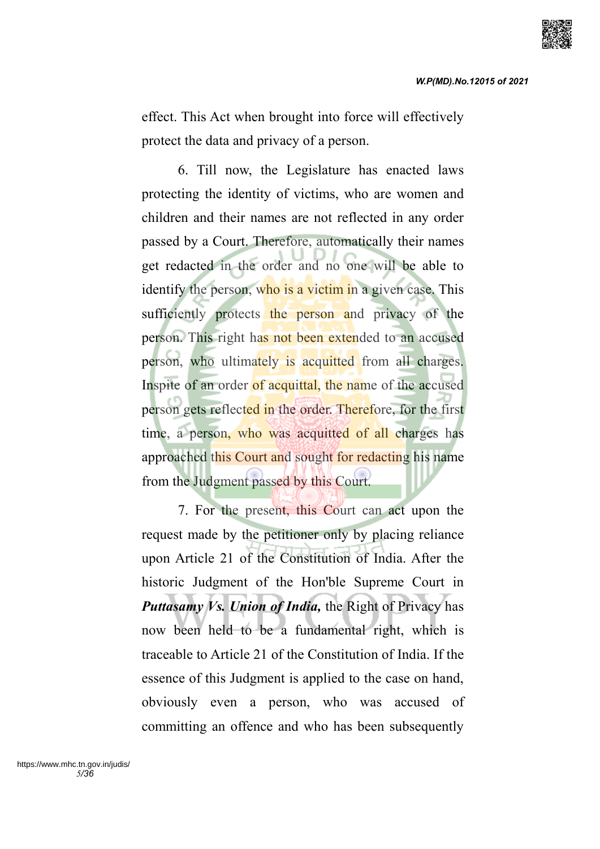effect. This Act when brought into force will effectively protect the data and privacy of a person.

6. Till now, the Legislature has enacted laws protecting the identity of victims, who are women and children and their names are not reflected in any order passed by a Court. Therefore, automatically their names get redacted in the order and no one will be able to identify the person, who is a victim in a given case. This sufficiently protects the person and privacy of the person. This right has not been extended to an accused person, who ultimately is acquitted from all charges. Inspite of an order of acquittal, the name of the accused person gets reflected in the order. Therefore, for the first time, a person, who was acquitted of all charges has approached this Court and sought for redacting his name from the Judgment passed by this Court.

7. For the present, this Court can act upon the request made by the petitioner only by placing reliance upon Article 21 of the Constitution of India. After the historic Judgment of the Hon'ble Supreme Court in *Puttasamy Vs. Union of India,* the Right of Privacy has now been held to be a fundamental right, which is traceable to Article 21 of the Constitution of India. If the essence of this Judgment is applied to the case on hand, obviously even a person, who was accused of committing an offence and who has been subsequently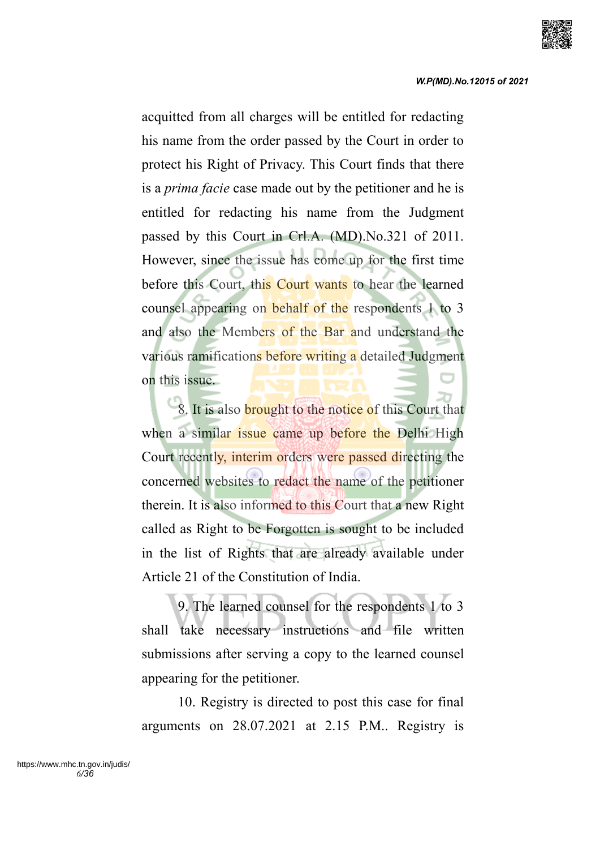

acquitted from all charges will be entitled for redacting his name from the order passed by the Court in order to protect his Right of Privacy. This Court finds that there is a *prima facie* case made out by the petitioner and he is entitled for redacting his name from the Judgment passed by this Court in Crl.A. (MD).No.321 of 2011. However, since the issue has come up for the first time before this Court, this Court wants to hear the learned counsel appearing on behalf of the respondents 1 to 3 and also the Members of the Bar and understand the various ramifications before writing a detailed Judgment on this issue.

8. It is also **brought** to the notice of this Court that when a similar issue came up before the Delhi High Court recently, interim orders were passed directing the concerned websites to redact the name of the petitioner therein. It is also informed to this Court that a new Right called as Right to be Forgotten is sought to be included in the list of Rights that are already available under Article 21 of the Constitution of India.

9. The learned counsel for the respondents 1 to 3 shall take necessary instructions and file written submissions after serving a copy to the learned counsel appearing for the petitioner.

10. Registry is directed to post this case for final arguments on 28.07.2021 at 2.15 P.M.. Registry is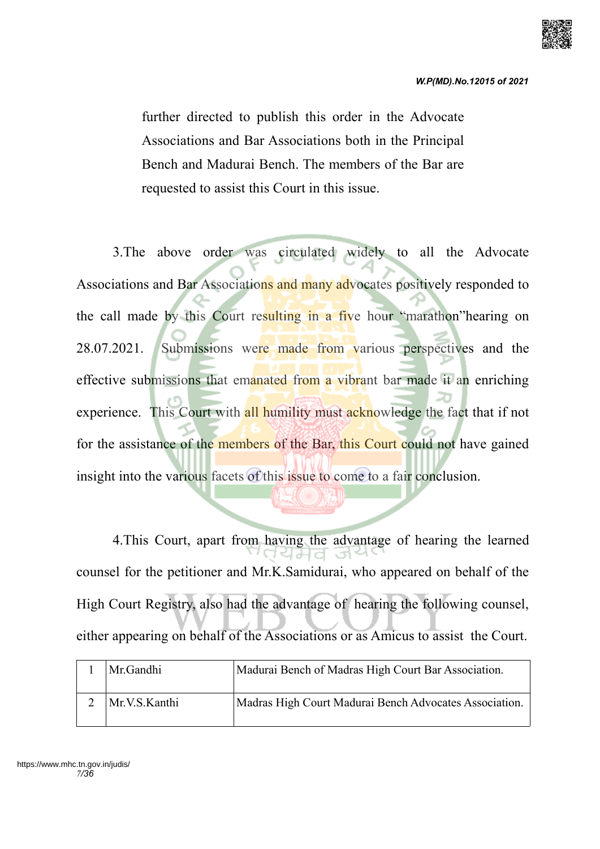

further directed to publish this order in the Advocate Associations and Bar Associations both in the Principal Bench and Madurai Bench. The members of the Bar are requested to assist this Court in this issue.

3.The above order was circulated widely to all the Advocate Associations and Bar Associations and many advocates positively responded to the call made by this Court resulting in a five hour "marathon"hearing on 28.07.2021. Submissions were made from various perspectives and the effective submissions that emanated from a vibrant bar made it an enriching experience. This Court with all humility must acknowledge the fact that if not for the assistance of the members of the Bar, this Court could not have gained insight into the various facets of this issue to come to a fair conclusion.

4.This Court, apart from having the advantage of hearing the learned counsel for the petitioner and Mr.K.Samidurai, who appeared on behalf of the High Court Registry, also had the advantage of hearing the following counsel, either appearing on behalf of the Associations or as Amicus to assist the Court.

| Mr.Gandhi     | Madurai Bench of Madras High Court Bar Association.    |
|---------------|--------------------------------------------------------|
| Mr.V.S.Kanthi | Madras High Court Madurai Bench Advocates Association. |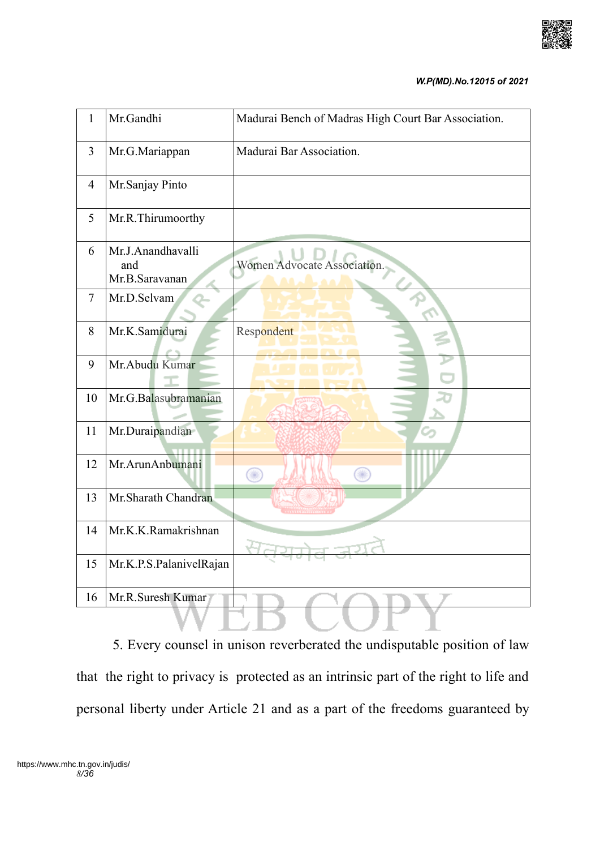

#### *W.P(MD).No.12015 of 2021*

| $\mathbf{1}$   | Mr.Gandhi                                  | Madurai Bench of Madras High Court Bar Association. |
|----------------|--------------------------------------------|-----------------------------------------------------|
| $\overline{3}$ | Mr.G.Mariappan                             | Madurai Bar Association.                            |
| $\overline{4}$ | Mr.Sanjay Pinto                            |                                                     |
| 5              | Mr.R.Thirumoorthy                          |                                                     |
| 6              | Mr.J.Anandhavalli<br>and<br>Mr.B.Saravanan | Women Advocate Association.                         |
| $\tau$         | Mr.D.Selvam                                |                                                     |
| 8              | Mr.K.Samidurai                             | Respondent                                          |
| 9              | Mr. Abudu Kumar                            |                                                     |
| 10             | Mr.G.Balasubramanian                       |                                                     |
| 11             | Mr.Duraipandian                            |                                                     |
| 12             | Mr.ArunAnbumani                            | Œ<br>∩                                              |
| 13             | Mr.Sharath Chandran                        |                                                     |
| 14             | Mr.K.K.Ramakrishnan                        |                                                     |
| 15             | Mr.K.P.S.PalanivelRajan                    |                                                     |
| 16             | Mr.R.Suresh Kumar                          |                                                     |
|                |                                            |                                                     |

5. Every counsel in unison reverberated the undisputable position of law that the right to privacy is protected as an intrinsic part of the right to life and personal liberty under Article 21 and as a part of the freedoms guaranteed by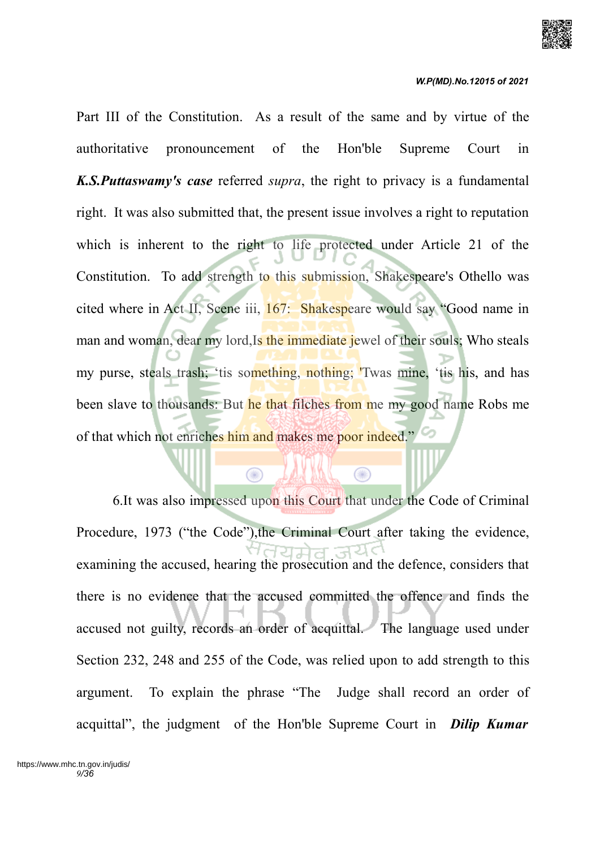

Part III of the Constitution. As a result of the same and by virtue of the authoritative pronouncement of the Hon'ble Supreme Court in *K.S.Puttaswamy's case* referred *supra*, the right to privacy is a fundamental right. It was also submitted that, the present issue involves a right to reputation which is inherent to the right to life protected under Article 21 of the Constitution. To add strength to this submission, Shakespeare's Othello was cited where in Act II, Scene iii, 167: Shakespeare would say "Good name in man and woman, dear my lord, Is the immediate jewel of their souls; Who steals my purse, steals trash; 'tis something, nothing; 'Twas mine, 'tis his, and has been slave to thousands: But he that filches from me my good name Robs me of that which not enriches him and makes me poor indeed."

6.It was also impressed upon this Court that under the Code of Criminal Procedure, 1973 ("the Code"),the Criminal Court after taking the evidence, examining the accused, hearing the prosecution and the defence, considers that there is no evidence that the accused committed the offence and finds the accused not guilty, records an order of acquittal. The language used under Section 232, 248 and 255 of the Code, was relied upon to add strength to this argument. To explain the phrase "The Judge shall record an order of acquittal", the judgment of the Hon'ble Supreme Court in *Dilip Kumar*

⋒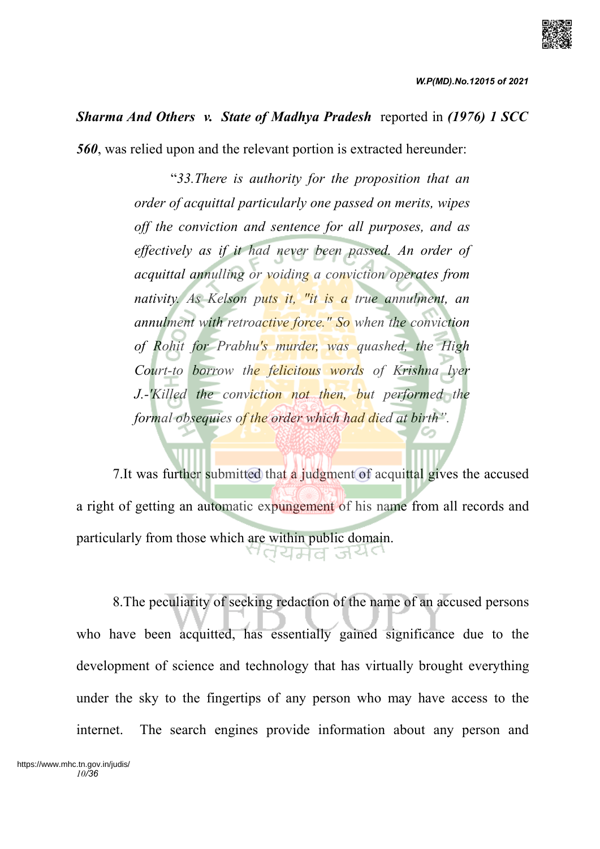

## *Sharma And Others v. State of Madhya Pradesh* reported in *(1976) 1 SCC*

*560*, was relied upon and the relevant portion is extracted hereunder:

"*33.There is authority for the proposition that an order of acquittal particularly one passed on merits, wipes off the conviction and sentence for all purposes, and as effectively as if it had never been passed. An order of acquittal annulling or voiding a conviction operates from nativity. As Kelson puts it, "it is a true annulment, an annulment with retroactive force." So when the conviction of Rohit for Prabhu's murder, was quashed, the High Court-to borrow the felicitous words of Krishna lyer J.-'Killed the conviction not then, but performed the formal obsequies of the order which had died at birth".* 

7.It was further submitted that a judgment of acquittal gives the accused a right of getting an automatic expungement of his name from all records and particularly from those which are within public domain. 'तयमेव जय

8.The peculiarity of seeking redaction of the name of an accused persons who have been acquitted, has essentially gained significance due to the development of science and technology that has virtually brought everything under the sky to the fingertips of any person who may have access to the internet. The search engines provide information about any person and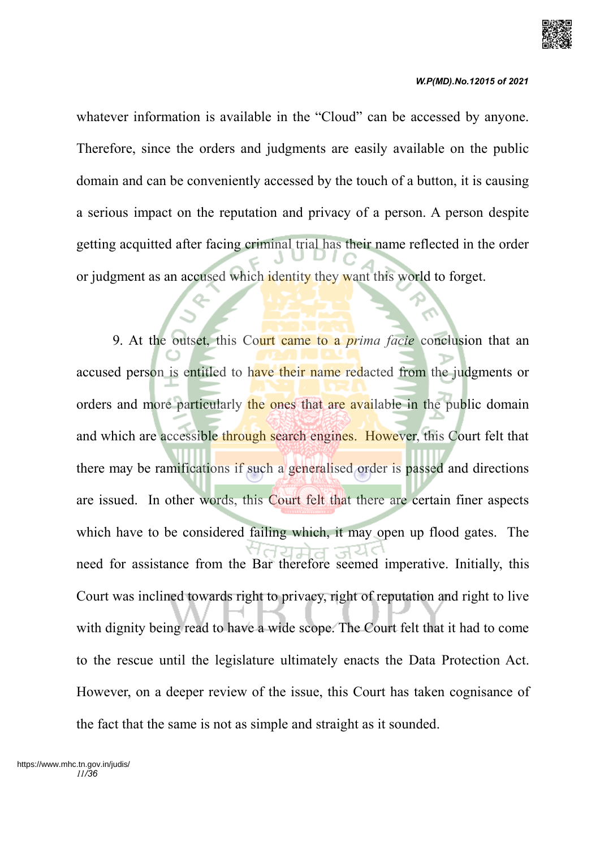

#### *W.P(MD).No.12015 of 2021*

whatever information is available in the "Cloud" can be accessed by anyone. Therefore, since the orders and judgments are easily available on the public domain and can be conveniently accessed by the touch of a button, it is causing a serious impact on the reputation and privacy of a person. A person despite getting acquitted after facing criminal trial has their name reflected in the order or judgment as an accused which identity they want this world to forget.

9. At the outset, this Court came to a *prima facie* conclusion that an accused person is entitled to have their name redacted from the judgments or orders and more particularly the ones that are available in the public domain and which are accessible through search engines. However, this Court felt that there may be ramifications if such a generalised order is passed and directions are issued. In other words, this Court felt that there are certain finer aspects which have to be considered failing which, it may open up flood gates. The need for assistance from the Bar therefore seemed imperative. Initially, this Court was inclined towards right to privacy, right of reputation and right to live with dignity being read to have a wide scope. The Court felt that it had to come to the rescue until the legislature ultimately enacts the Data Protection Act. However, on a deeper review of the issue, this Court has taken cognisance of the fact that the same is not as simple and straight as it sounded.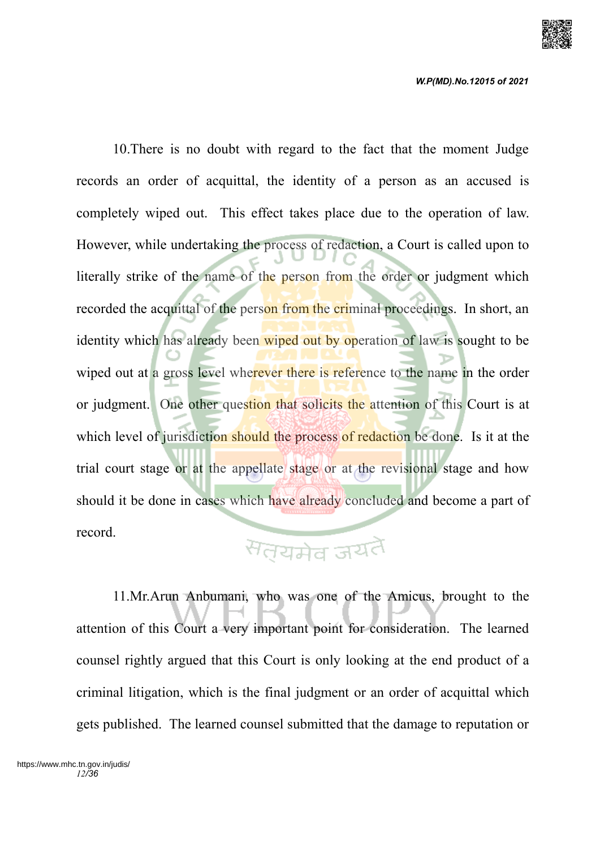

10.There is no doubt with regard to the fact that the moment Judge records an order of acquittal, the identity of a person as an accused is completely wiped out. This effect takes place due to the operation of law. However, while undertaking the process of redaction, a Court is called upon to literally strike of the name of the person from the order or judgment which recorded the acquittal of the person from the criminal proceedings. In short, an identity which has already been wiped out by operation of law is sought to be wiped out at a gross level wherever there is reference to the name in the order or judgment. One other question that solicits the attention of this Court is at which level of jurisdiction should the process of redaction be done. Is it at the trial court stage or at the appellate stage or at the revisional stage and how should it be done in cases which have already concluded and become a part of record.

# सतयमेव जयतै

11.Mr.Arun Anbumani, who was one of the Amicus, brought to the attention of this Court a very important point for consideration. The learned counsel rightly argued that this Court is only looking at the end product of a criminal litigation, which is the final judgment or an order of acquittal which gets published. The learned counsel submitted that the damage to reputation or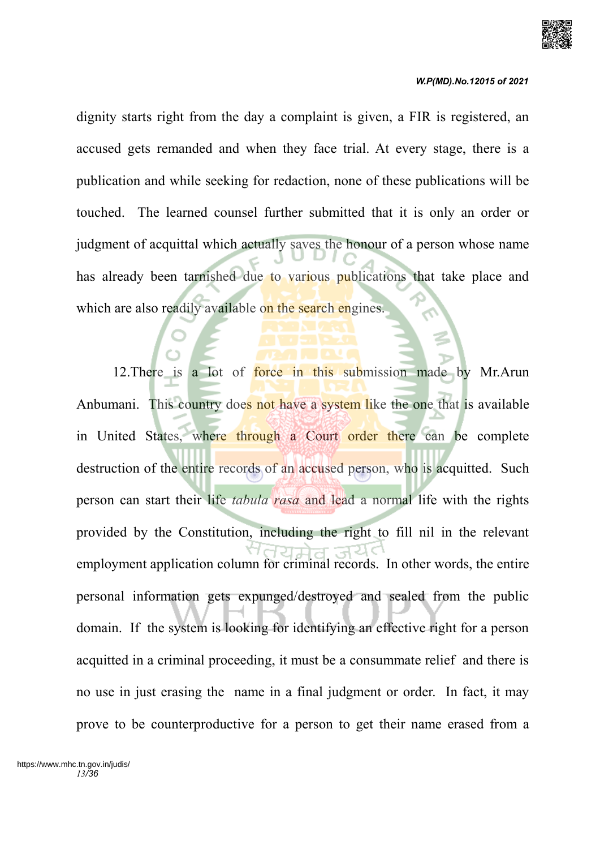

dignity starts right from the day a complaint is given, a FIR is registered, an accused gets remanded and when they face trial. At every stage, there is a publication and while seeking for redaction, none of these publications will be touched. The learned counsel further submitted that it is only an order or judgment of acquittal which actually saves the honour of a person whose name has already been tarnished due to various publications that take place and which are also readily available on the search engines.

12. There is a lot of force in this submission made by Mr. Arun Anbumani. This country does not have a system like the one that is available in United States, where through a Court order there can be complete destruction of the entire records of an accused person, who is acquitted. Such person can start their life *tabula rasa* and lead a normal life with the rights provided by the Constitution, including the right to fill nil in the relevant employment application column for criminal records. In other words, the entire personal information gets expunged/destroyed and sealed from the public domain. If the system is looking for identifying an effective right for a person acquitted in a criminal proceeding, it must be a consummate relief and there is no use in just erasing the name in a final judgment or order. In fact, it may prove to be counterproductive for a person to get their name erased from a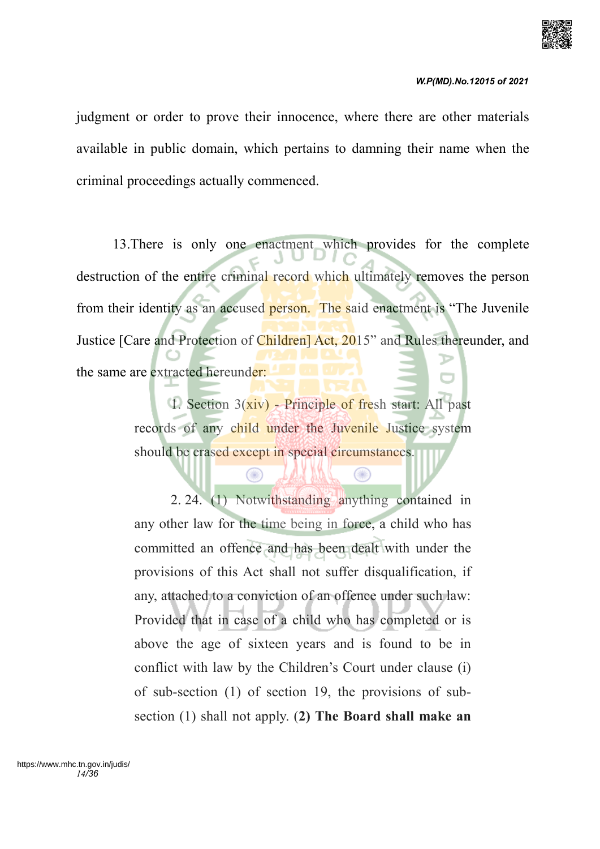

judgment or order to prove their innocence, where there are other materials available in public domain, which pertains to damning their name when the criminal proceedings actually commenced.

13.There is only one enactment which provides for the complete destruction of the entire criminal record which ultimately removes the person from their identity as an accused person. The said enactment is "The Juvenile Justice [Care and Protection of Children] Act, 2015" and Rules thereunder, and the same are extracted hereunder:

> 1. Section 3(xiv) - Principle of fresh start: All past records of any child under the Juvenile Justice system should be erased except in special circumstances.

> > Œ

⊜

2. 24. (1) Notwithstanding anything contained in any other law for the time being in force, a child who has committed an offence and has been dealt with under the provisions of this Act shall not suffer disqualification, if any, attached to a conviction of an offence under such law: Provided that in case of a child who has completed or is above the age of sixteen years and is found to be in conflict with law by the Children's Court under clause (i) of sub-section (1) of section 19, the provisions of subsection (1) shall not apply. (**2) The Board shall make an**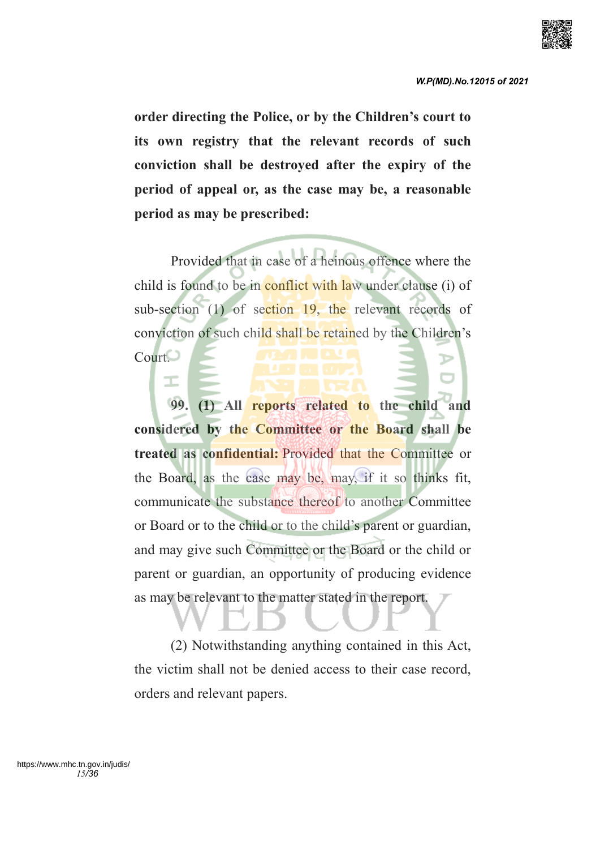

**order directing the Police, or by the Children's court to its own registry that the relevant records of such conviction shall be destroyed after the expiry of the period of appeal or, as the case may be, a reasonable period as may be prescribed:**

Provided that in case of a heinous offence where the child is found to be in conflict with law under clause (i) of sub-section (1) of section 19, the relevant records of conviction of such child shall be retained by the Children's Court.

I

**99. (1) All reports related to the child and considered by the Committee or the Board shall be treated as confidential:** Provided that the Committee or the Board, as the case may be, may, if it so thinks fit, communicate the substance thereof to another Committee or Board or to the child or to the child's parent or guardian, and may give such Committee or the Board or the child or parent or guardian, an opportunity of producing evidence as may be relevant to the matter stated in the report.

(2) Notwithstanding anything contained in this Act, the victim shall not be denied access to their case record, orders and relevant papers.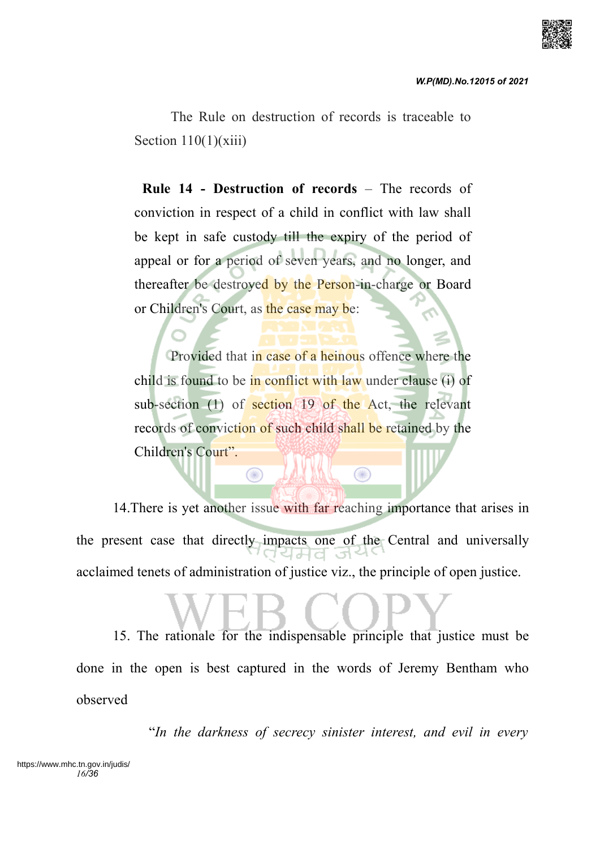

The Rule on destruction of records is traceable to Section  $110(1)(xiii)$ 

 **Rule 14 - Destruction of records** – The records of conviction in respect of a child in conflict with law shall be kept in safe custody till the expiry of the period of appeal or for a period of seven years, and no longer, and thereafter be destroyed by the Person-in-charge or Board or Children's Court, as the case may be:

Provided that in case of a heinous offence where the child is found to be in conflict with law under clause (i) of sub-section (1) of section 19 of the Act, the relevant records of conviction of such child shall be retained by the Children's Court".

⋒

14. There is yet another issue with far reaching importance that arises in the present case that directly impacts one of the Central and universally acclaimed tenets of administration of justice viz., the principle of open justice.

 $\circledcirc$ 

15. The rationale for the indispensable principle that justice must be done in the open is best captured in the words of Jeremy Bentham who observed

"*In the darkness of secrecy sinister interest, and evil in every*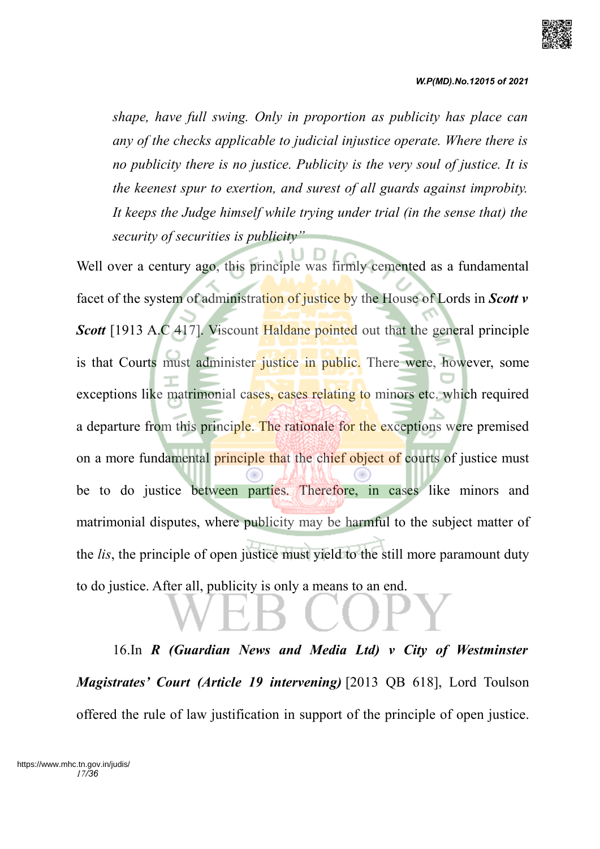

*W.P(MD).No.12015 of 2021*

*shape, have full swing. Only in proportion as publicity has place can any of the checks applicable to judicial injustice operate. Where there is no publicity there is no justice. Publicity is the very soul of justice. It is the keenest spur to exertion, and surest of all guards against improbity. It keeps the Judge himself while trying under trial (in the sense that) the security of securities is publicity"*

Well over a century ago, this principle was firmly cemented as a fundamental facet of the system of administration of justice by the House of Lords in *Scott v Scott* [1913 A.C 417]. Viscount Haldane pointed out that the general principle is that Courts must administer justice in public. There were, however, some exceptions like matrimonial cases, cases relating to minors etc. which required a departure from this principle. The rationale for the exceptions were premised on a more fundamental principle that the chief object of courts of justice must be to do justice between parties. Therefore, in cases like minors and matrimonial disputes, where publicity may be harmful to the subject matter of the *lis*, the principle of open justice must yield to the still more paramount duty to do justice. After all, publicity is only a means to an end.

16.In *R (Guardian News and Media Ltd) v City of Westminster Magistrates' Court (Article 19 intervening)* [2013 QB 618], Lord Toulson offered the rule of law justification in support of the principle of open justice.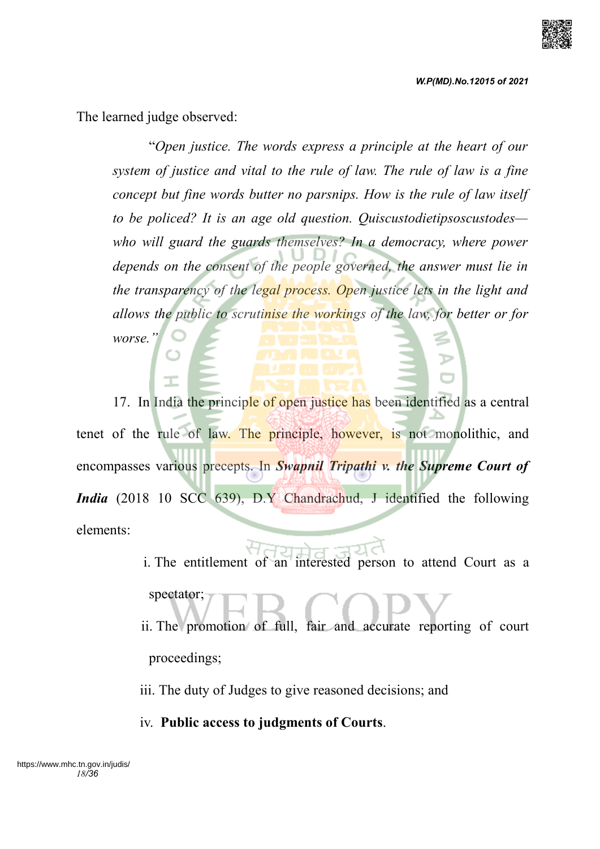

*W.P(MD).No.12015 of 2021*

The learned judge observed:

"*Open justice. The words express a principle at the heart of our system of justice and vital to the rule of law. The rule of law is a fine concept but fine words butter no parsnips. How is the rule of law itself to be policed? It is an age old question. Quiscustodietipsoscustodes who will guard the guards themselves? In a democracy, where power depends on the consent of the people governed, the answer must lie in the transparency of the legal process. Open justice lets in the light and allows the public to scrutinise the workings of the law, for better or for worse."*

17. In India the principle of open justice has been identified as a central tenet of the rule of law. The principle, however, is not monolithic, and encompasses various precepts. In *Swapnil Tripathi v. the Supreme Court of India* (2018 10 SCC 639), D.Y Chandrachud, J identified the following elements:

> i. The entitlement of an interested person to attend Court as a spectator; ii. The promotion of full, fair and accurate reporting of court

proceedings;

iii. The duty of Judges to give reasoned decisions; and

iv. **Public access to judgments of Courts**.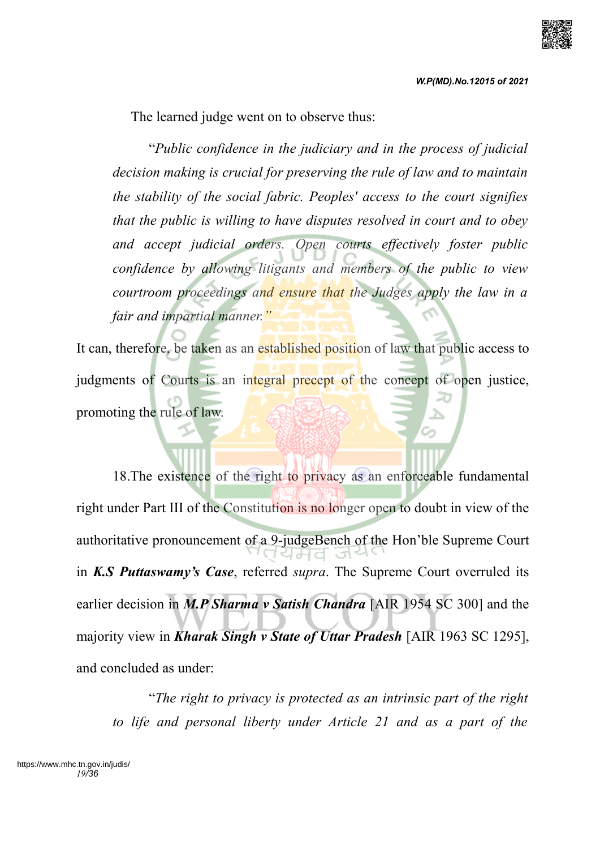The learned judge went on to observe thus:

"*Public confidence in the judiciary and in the process of judicial decision making is crucial for preserving the rule of law and to maintain the stability of the social fabric. Peoples' access to the court signifies that the public is willing to have disputes resolved in court and to obey and accept judicial orders. Open courts effectively foster public confidence by allowing litigants and members of the public to view courtroom proceedings and ensure that the Judges apply the law in a fair and impartial manner."*

It can, therefore, be taken as an established position of law that public access to judgments of Courts is an integral precept of the concept of open justice, promoting the rule of law.

18.The existence of the right to privacy as an enforceable fundamental right under Part III of the Constitution is no longer open to doubt in view of the authoritative pronouncement of a 9-judgeBench of the Hon'ble Supreme Court in *K.S Puttaswamy's Case*, referred *supra*. The Supreme Court overruled its earlier decision in *M.P Sharma v Satish Chandra* [AIR 1954 SC 300] and the majority view in *Kharak Singh v State of Uttar Pradesh* [AIR 1963 SC 1295], and concluded as under:

"*The right to privacy is protected as an intrinsic part of the right to life and personal liberty under Article 21 and as a part of the*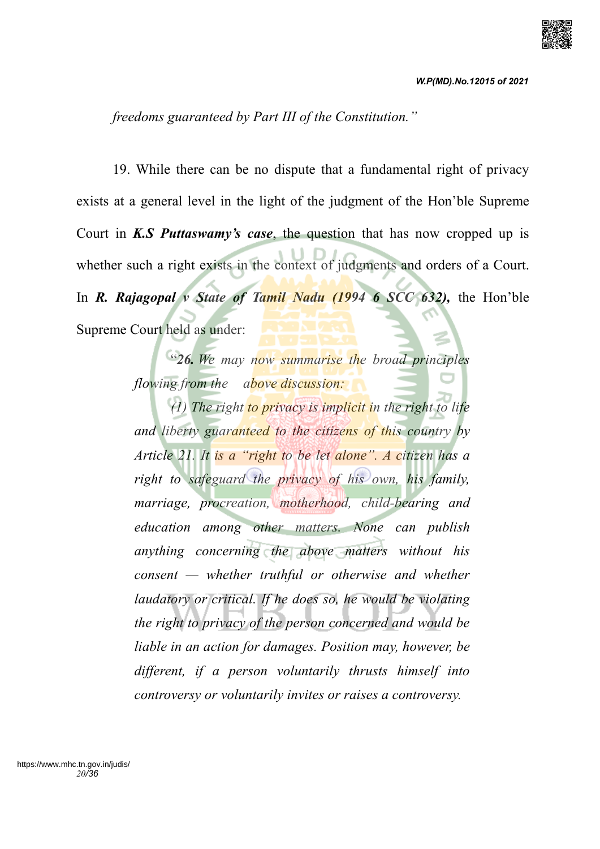

*freedoms guaranteed by Part III of the Constitution."*

19. While there can be no dispute that a fundamental right of privacy exists at a general level in the light of the judgment of the Hon'ble Supreme Court in *K.S Puttaswamy's case*, the question that has now cropped up is whether such a right exists in the context of judgments and orders of a Court. In *R. Rajagopal v State of Tamil Nadu (1994 6 SCC 632)*, the Hon'ble Supreme Court held as under:

> "*26. We may now summarise the broad principles flowing from the above discussion:*

> *(1) The right to privacy is implicit in the right to life and liberty guaranteed to the citizens of this country by Article 21. It is a "right to be let alone". A citizen has a right to safeguard the privacy of his own, his family, marriage, procreation, motherhood, child-bearing and education among other matters. None can publish anything concerning the above matters without his consent — whether truthful or otherwise and whether laudatory or critical. If he does so, he would be violating the right to privacy of the person concerned and would be liable in an action for damages. Position may, however, be different, if a person voluntarily thrusts himself into controversy or voluntarily invites or raises a controversy.*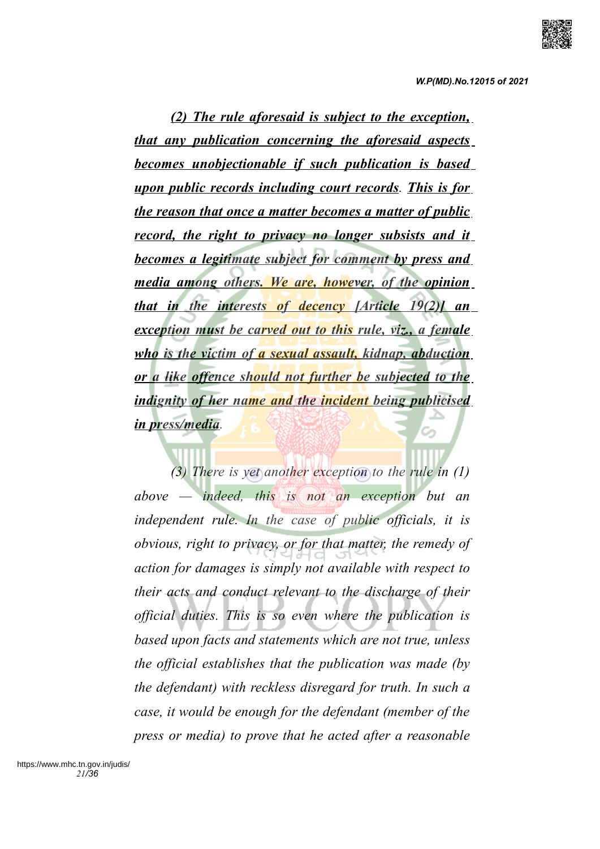*(2) The rule aforesaid is subject to the exception, that any publication concerning the aforesaid aspects becomes unobjectionable if such publication is based upon public records including court records. This is for the reason that once a matter becomes a matter of public record, the right to privacy no longer subsists and it becomes a legitimate subject for comment by press and media among others. We are, however, of the opinion that in the interests of decency [Article 19(2)] an exception must be carved out to this rule, viz., a female who is the victim of a sexual assault, kidnap, abduction or a like offence should not further be subjected to the indignity of her name and the incident being publicised in press/media.*

*(3) There is yet another exception to the rule in (1) above — indeed, this is not an exception but an independent rule. In the case of public officials, it is obvious, right to privacy, or for that matter, the remedy of action for damages is simply not available with respect to their acts and conduct relevant to the discharge of their official duties. This is so even where the publication is based upon facts and statements which are not true, unless the official establishes that the publication was made (by the defendant) with reckless disregard for truth. In such a case, it would be enough for the defendant (member of the press or media) to prove that he acted after a reasonable*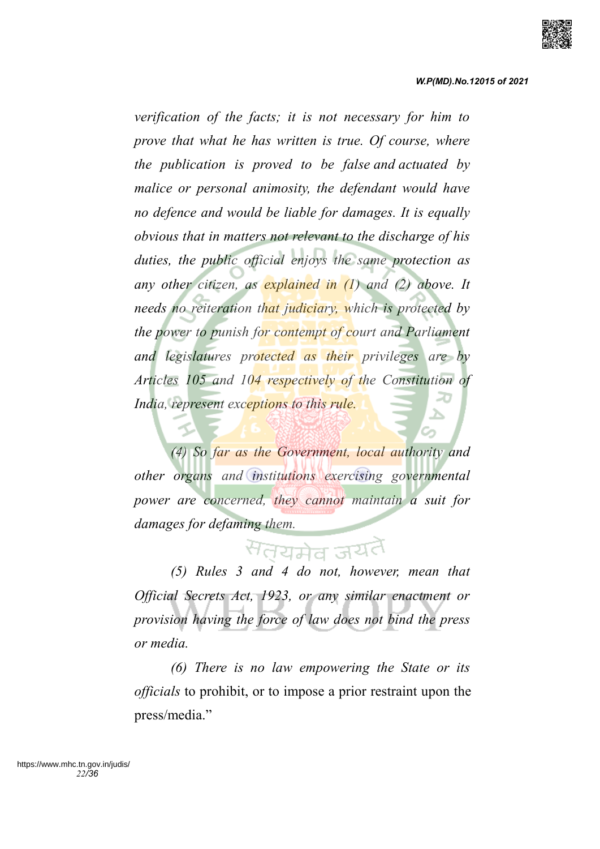

*verification of the facts; it is not necessary for him to prove that what he has written is true. Of course, where the publication is proved to be false and actuated by malice or personal animosity, the defendant would have no defence and would be liable for damages. It is equally obvious that in matters not relevant to the discharge of his duties, the public official enjoys the same protection as any other citizen, as explained in (1) and (2) above. It needs no reiteration that judiciary, which is protected by the power to punish for contempt of court and Parliament and legislatures protected as their privileges are by Articles 105 and 104 respectively of the Constitution of India, represent exceptions to this rule.*

*(4) So far as the Government, local authority and other organs and institutions exercising governmental power are concerned, they cannot maintain a suit for damages for defaming them.*

# सतयमेव जय

*(5) Rules 3 and 4 do not, however, mean that Official Secrets Act, 1923, or any similar enactment or provision having the force of law does not bind the press or media.*

*(6) There is no law empowering the State or its officials* to prohibit, or to impose a prior restraint upon the press/media."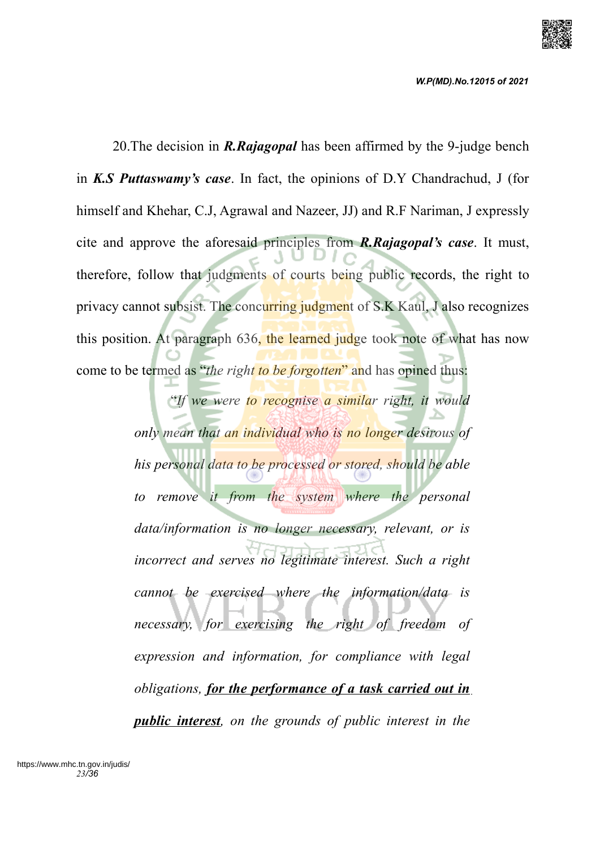

*W.P(MD).No.12015 of 2021*

20.The decision in *R.Rajagopal* has been affirmed by the 9-judge bench in *K.S Puttaswamy's case*. In fact, the opinions of D.Y Chandrachud, J (for himself and Khehar, C.J, Agrawal and Nazeer, JJ) and R.F Nariman, J expressly cite and approve the aforesaid principles from *R.Rajagopal's case*. It must, therefore, follow that judgments of courts being public records, the right to privacy cannot subsist. The concurring judgment of S.K Kaul, J also recognizes this position. At paragraph 636, the learned judge took note of what has now come to be termed as "*the right to be forgotten*" and has opined thus:

> "*If we were to recognise a similar right, it would only mean that an individual who is no longer desirous of his personal data to be processed or stored, should be able to remove it from the system where the personal data/information is no longer necessary, relevant, or is incorrect and serves no legitimate interest. Such a right cannot be exercised where the information/data is necessary, for exercising the right of freedom of expression and information, for compliance with legal obligations, for the performance of a task carried out in public interest, on the grounds of public interest in the*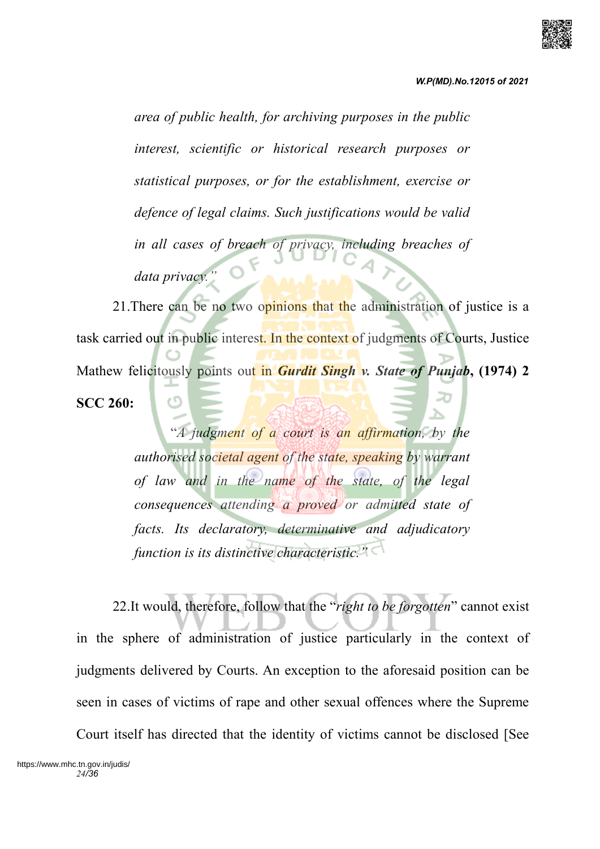

*area of public health, for archiving purposes in the public interest, scientific or historical research purposes or statistical purposes, or for the establishment, exercise or defence of legal claims. Such justifications would be valid in all cases of breach of privacy, including breaches of* data privacy.

21. There can be no two opinions that the administration of justice is a task carried out in public interest. In the context of judgments of Courts, Justice Mathew felicitously points out in *Gurdit Singh v. State of Punjab***, (1974) 2 SCC 260:**

> "*A judgment of a court is an affirmation, by the authorised societal agent of the state, speaking by warrant of law and in the name of the state, of the legal consequences attending a proved or admitted state of facts. Its declaratory, determinative and adjudicatory function is its distinctive characteristic."*

22.It would, therefore, follow that the "*right to be forgotten*" cannot exist in the sphere of administration of justice particularly in the context of judgments delivered by Courts. An exception to the aforesaid position can be seen in cases of victims of rape and other sexual offences where the Supreme Court itself has directed that the identity of victims cannot be disclosed [See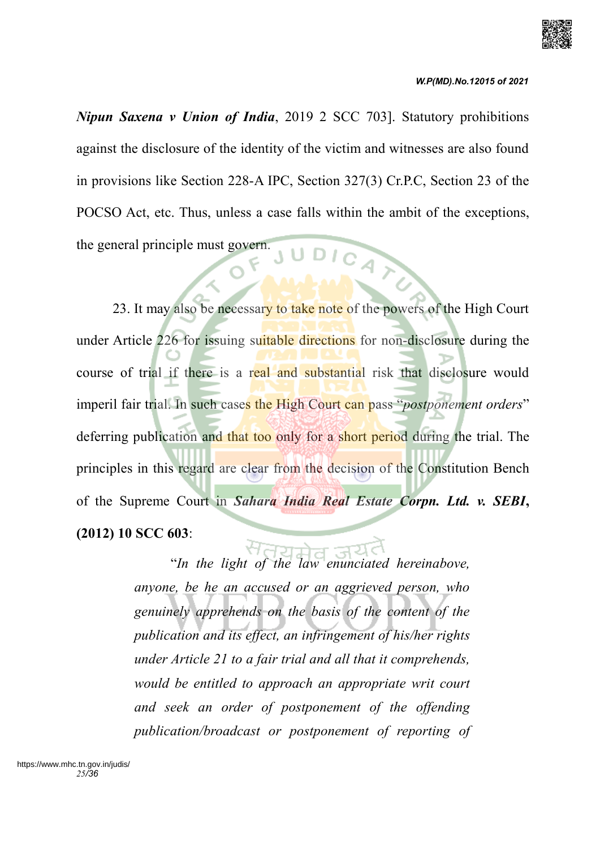

*Nipun Saxena v Union of India*, 2019 2 SCC 703]. Statutory prohibitions against the disclosure of the identity of the victim and witnesses are also found in provisions like Section 228-A IPC, Section 327(3) Cr.P.C, Section 23 of the POCSO Act, etc. Thus, unless a case falls within the ambit of the exceptions, UDICATO the general principle must govern.

23. It may also be necessary to take note of the powers of the High Court under Article 226 for issuing suitable directions for non-disclosure during the course of trial if there is a real and substantial risk that disclosure would imperil fair trial. In such cases the High Court can pass "*postponement orders*" deferring publication and that too only for a short period during the trial. The principles in this regard are clear from the decision of the Constitution Bench of the Supreme Court in *Sahara India Real Estate Corpn. Ltd. v. SEBI***, (2012) 10 SCC 603**:

> "*In the light of the law enunciated hereinabove, anyone, be he an accused or an aggrieved person, who genuinely apprehends on the basis of the content of the publication and its effect, an infringement of his/her rights under Article 21 to a fair trial and all that it comprehends, would be entitled to approach an appropriate writ court and seek an order of postponement of the offending publication/broadcast or postponement of reporting of*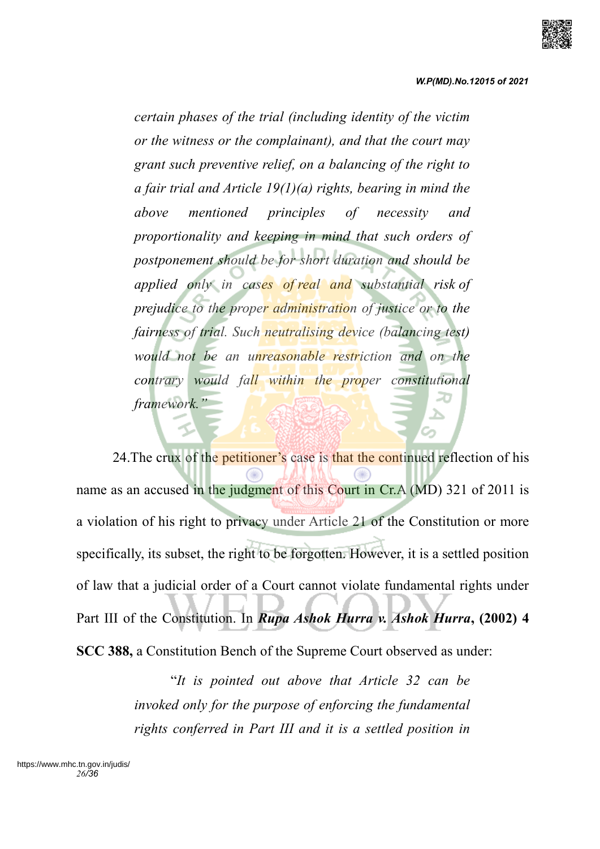

*certain phases of the trial (including identity of the victim or the witness or the complainant), and that the court may grant such preventive relief, on a balancing of the right to a fair trial and Article 19(1)(a) rights, bearing in mind the above mentioned principles of necessity and proportionality and keeping in mind that such orders of postponement should be for short duration and should be applied only in cases of real and substantial risk of prejudice to the proper administration of justice or to the fairness of trial. Such neutralising device (balancing test) would not be an unreasonable restriction and on the contrary would fall within the proper constitutional framework."*

24. The crux of the petitioner's case is that the continued reflection of his name as an accused in the judgment of this Court in Cr.A (MD) 321 of 2011 is a violation of his right to privacy under Article 21 of the Constitution or more specifically, its subset, the right to be forgotten. However, it is a settled position of law that a judicial order of a Court cannot violate fundamental rights under Part III of the Constitution. In *Rupa Ashok Hurra v. Ashok Hurra***, (2002) 4 SCC 388,** a Constitution Bench of the Supreme Court observed as under:

> "*It is pointed out above that Article 32 can be invoked only for the purpose of enforcing the fundamental rights conferred in Part III and it is a settled position in*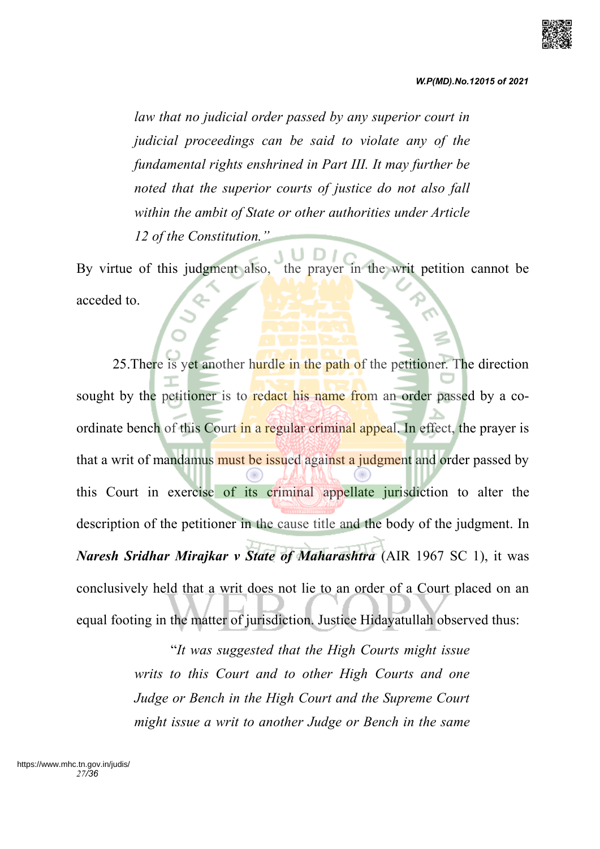

*law that no judicial order passed by any superior court in judicial proceedings can be said to violate any of the fundamental rights enshrined in Part III. It may further be noted that the superior courts of justice do not also fall within the ambit of State or other authorities under Article 12 of the Constitution."*

By virtue of this judgment also, the prayer in the writ petition cannot be acceded to.

25. There is yet another hurdle in the path of the petitioner. The direction sought by the petitioner is to redact his name from an order passed by a coordinate bench of this Court in a regular criminal appeal. In effect, the prayer is that a writ of mandamus must be issued against a judgment and order passed by this Court in exercise of its criminal appellate jurisdiction to alter the description of the petitioner in the cause title and the body of the judgment. In *Naresh Sridhar Mirajkar v State of Maharashtra* (AIR 1967 SC 1), it was conclusively held that a writ does not lie to an order of a Court placed on an equal footing in the matter of jurisdiction. Justice Hidayatullah observed thus:

> "*It was suggested that the High Courts might issue writs to this Court and to other High Courts and one Judge or Bench in the High Court and the Supreme Court might issue a writ to another Judge or Bench in the same*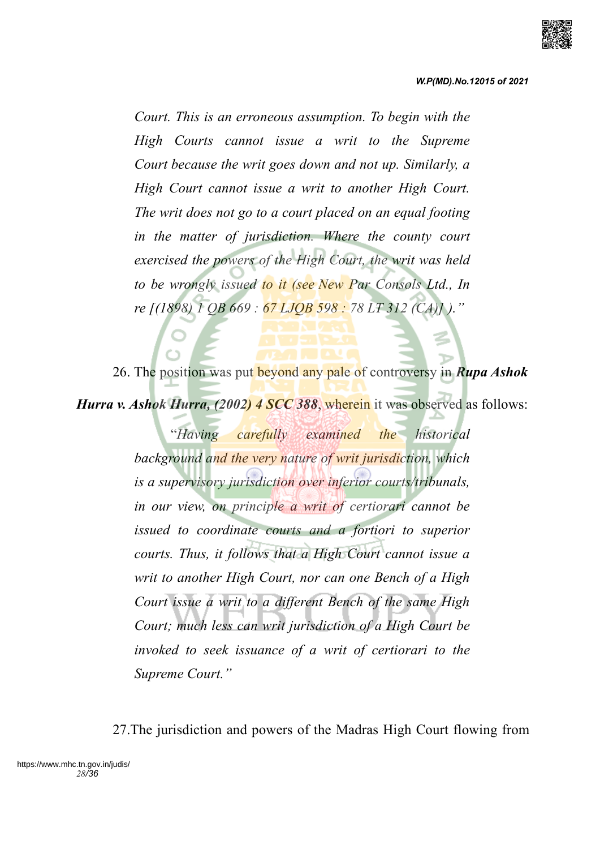

*Court. This is an erroneous assumption. To begin with the High Courts cannot issue a writ to the Supreme Court because the writ goes down and not up. Similarly, a High Court cannot issue a writ to another High Court. The writ does not go to a court placed on an equal footing in the matter of jurisdiction. Where the county court exercised the powers of the High Court, the writ was held to be wrongly issued to it (see New Par Consols Ltd., In re [(1898) 1 QB 669 : 67 LJQB 598 : 78 LT 312 (CA)] )."*

26. The position was put beyond any pale of controversy in *Rupa Ashok Hurra v. Ashok Hurra, (2002) 4 SCC 388*, wherein it was observed as follows:

> "*Having carefully examined the historical background and the very nature of writ jurisdiction, which is a supervisory jurisdiction over inferior courts/tribunals, in our view, on principle a writ of certiorari cannot be issued to coordinate courts and a fortiori to superior courts. Thus, it follows that a High Court cannot issue a writ to another High Court, nor can one Bench of a High Court issue a writ to a different Bench of the same High Court; much less can writ jurisdiction of a High Court be invoked to seek issuance of a writ of certiorari to the Supreme Court."*

27.The jurisdiction and powers of the Madras High Court flowing from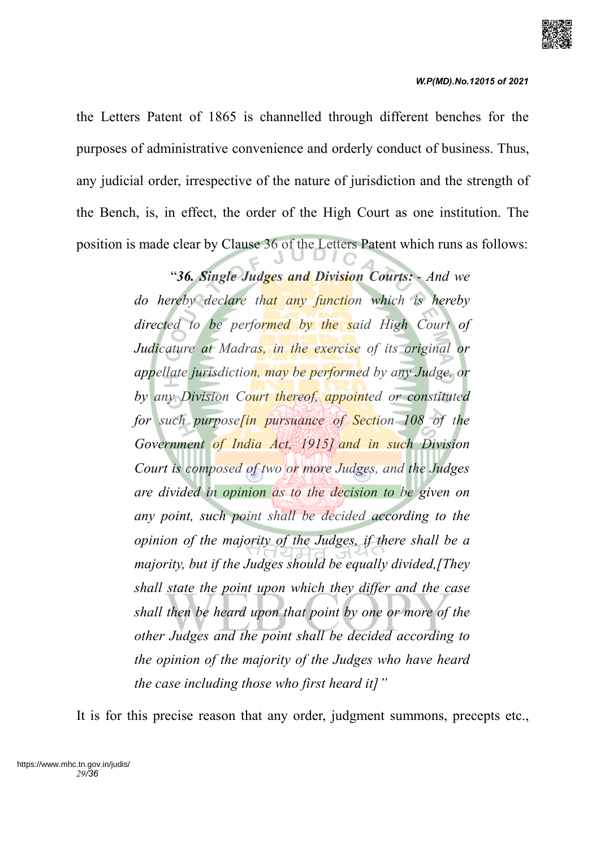

the Letters Patent of 1865 is channelled through different benches for the purposes of administrative convenience and orderly conduct of business. Thus, any judicial order, irrespective of the nature of jurisdiction and the strength of the Bench, is, in effect, the order of the High Court as one institution. The position is made clear by Clause 36 of the Letters Patent which runs as follows:

> "*36. Single Judges and Division Courts: - And we do hereby declare that any function which is hereby directed to be performed by the said High Court of Judicature at Madras, in the exercise of its original or appellate jurisdiction, may be performed by any Judge, or by any Division Court thereof, appointed or constituted for such purpose[in pursuance of Section 108 of the Government of India Act, 1915] and in such Division Court is composed of two or more Judges, and the Judges are divided in opinion as to the decision to be given on any point, such point shall be decided according to the opinion of the majority of the Judges, if there shall be a majority, but if the Judges should be equally divided,[They shall state the point upon which they differ and the case shall then be heard upon that point by one or more of the other Judges and the point shall be decided according to the opinion of the majority of the Judges who have heard the case including those who first heard it]"*

It is for this precise reason that any order, judgment summons, precepts etc.,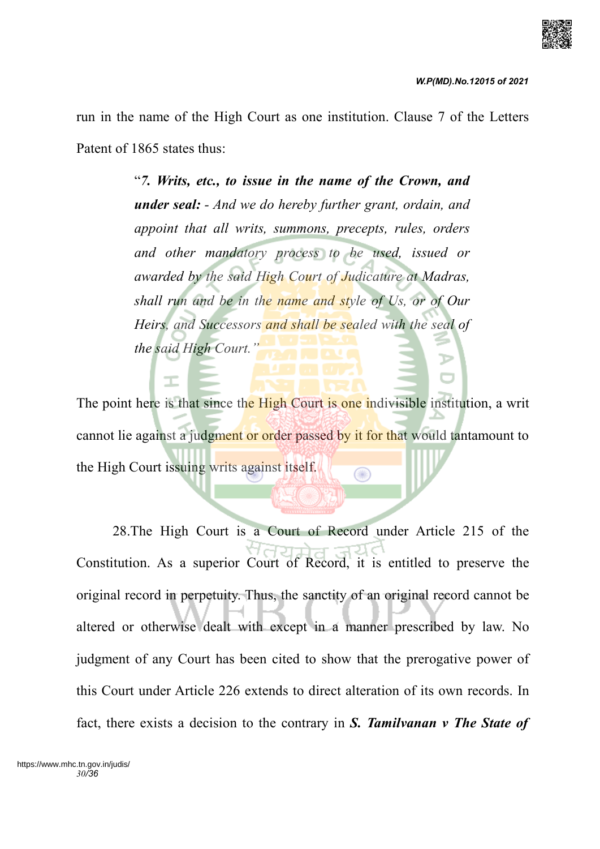

run in the name of the High Court as one institution. Clause 7 of the Letters Patent of 1865 states thus:

> "*7. Writs, etc., to issue in the name of the Crown, and under seal: - And we do hereby further grant, ordain, and appoint that all writs, summons, precepts, rules, orders and other mandatory process to be used, issued or awarded by the said High Court of Judicature at Madras, shall run and be in the name and style of Us, or of Our Heirs, and Successors and shall be sealed with the seal of the said High Court."*

The point here is that since the High Court is one indivisible institution, a writ cannot lie against a judgment or order passed by it for that would tantamount to the High Court issuing writs against itself. ◉

28.The High Court is a Court of Record under Article 215 of the Constitution. As a superior Court of Record, it is entitled to preserve the original record in perpetuity. Thus, the sanctity of an original record cannot be altered or otherwise dealt with except in a manner prescribed by law. No judgment of any Court has been cited to show that the prerogative power of this Court under Article 226 extends to direct alteration of its own records. In fact, there exists a decision to the contrary in *S. Tamilvanan v The State of*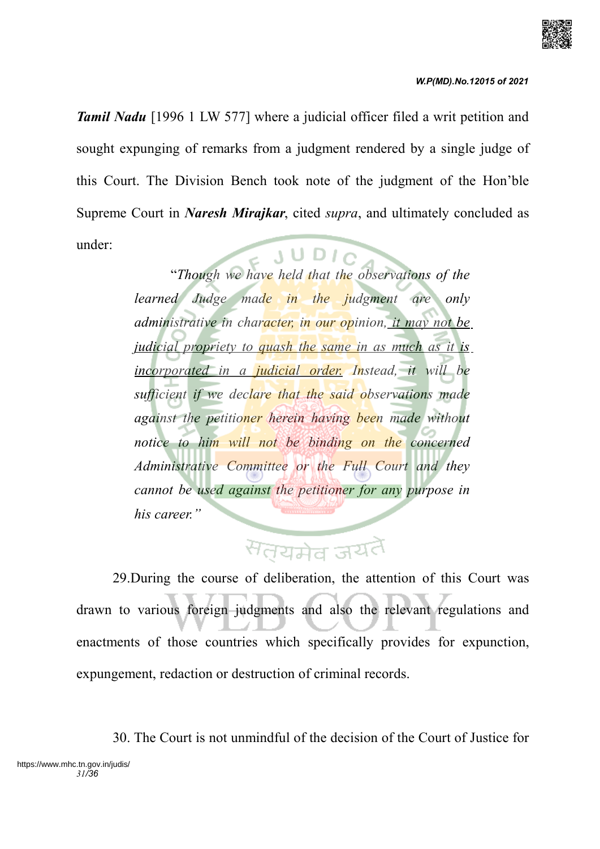

*Tamil Nadu* [1996 1 LW 577] where a judicial officer filed a writ petition and sought expunging of remarks from a judgment rendered by a single judge of this Court. The Division Bench took note of the judgment of the Hon'ble Supreme Court in *Naresh Mirajkar*, cited *supra*, and ultimately concluded as under:

"*Though we have held that the observations of the learned Judge made in the judgment are only administrative in character, in our opinion, it may not be judicial propriety to quash the same in as much as it is incorporated in a judicial order. Instead, it will be sufficient if we declare that the said observations made against the petitioner herein having been made without notice to him will not be binding on the concerned Administrative Committee or the Full Court and they cannot be used against the petitioner for any purpose in his career."*

# सतयमेव जयतै

29.During the course of deliberation, the attention of this Court was drawn to various foreign judgments and also the relevant regulations and enactments of those countries which specifically provides for expunction, expungement, redaction or destruction of criminal records.

30. The Court is not unmindful of the decision of the Court of Justice for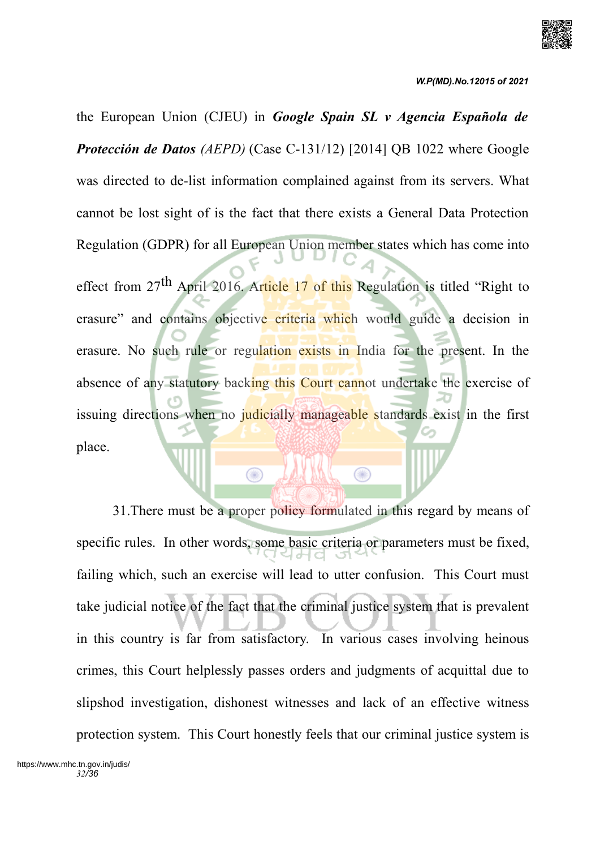

the European Union (CJEU) in *Google Spain SL v Agencia Española de Protección de Datos (AEPD)* (Case C-131/12) [2014] QB 1022 where Google was directed to de-list information complained against from its servers. What cannot be lost sight of is the fact that there exists a General Data Protection Regulation (GDPR) for all European Union member states which has come into

effect from  $27<sup>th</sup>$  April 2016. Article 17 of this Regulation is titled "Right to erasure" and contains objective criteria which would guide a decision in erasure. No such rule or regulation exists in India for the present. In the absence of any statutory backing this Court cannot undertake the exercise of issuing directions when no judicially manageable standards exist in the first place.

 $\bigcirc$ 

 $\bigcirc$ 

31.There must be a proper policy formulated in this regard by means of specific rules. In other words, some basic criteria or parameters must be fixed, failing which, such an exercise will lead to utter confusion. This Court must take judicial notice of the fact that the criminal justice system that is prevalent in this country is far from satisfactory. In various cases involving heinous crimes, this Court helplessly passes orders and judgments of acquittal due to slipshod investigation, dishonest witnesses and lack of an effective witness protection system. This Court honestly feels that our criminal justice system is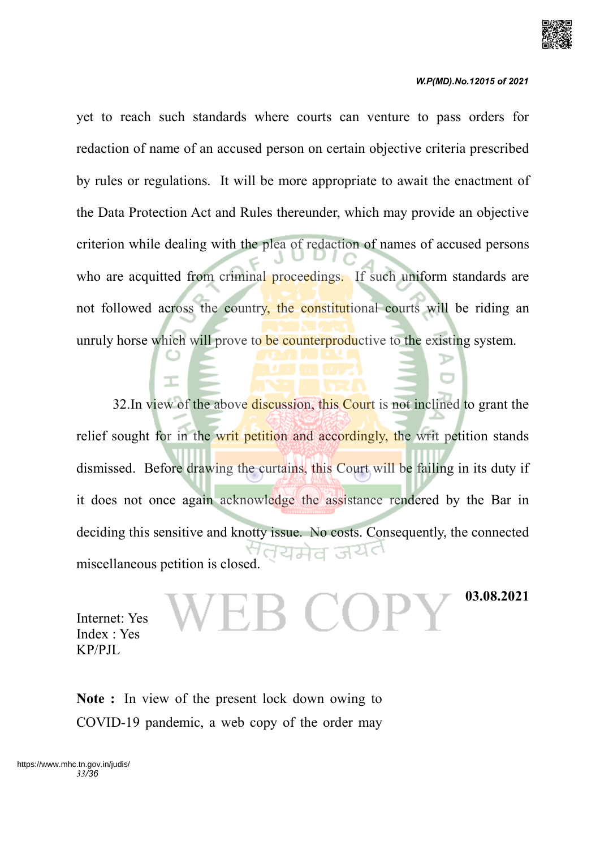

yet to reach such standards where courts can venture to pass orders for redaction of name of an accused person on certain objective criteria prescribed by rules or regulations. It will be more appropriate to await the enactment of the Data Protection Act and Rules thereunder, which may provide an objective criterion while dealing with the plea of redaction of names of accused persons who are acquitted from criminal proceedings. If such uniform standards are not followed across the country, the constitutional courts will be riding an unruly horse which will prove to be counterproductive to the existing system.

32. In view of the above discussion, this Court is not inclined to grant the relief sought for in the writ petition and accordingly, the writ petition stands dismissed. Before drawing the curtains, this Court will be failing in its duty if it does not once again acknowledge the assistance rendered by the Bar in deciding this sensitive and knotty issue. No costs. Consequently, the connected miscellaneous petition is closed.

Internet: Yes Index : Yes KP/PJL

**03.08.2021**

**Note :** In view of the present lock down owing to COVID-19 pandemic, a web copy of the order may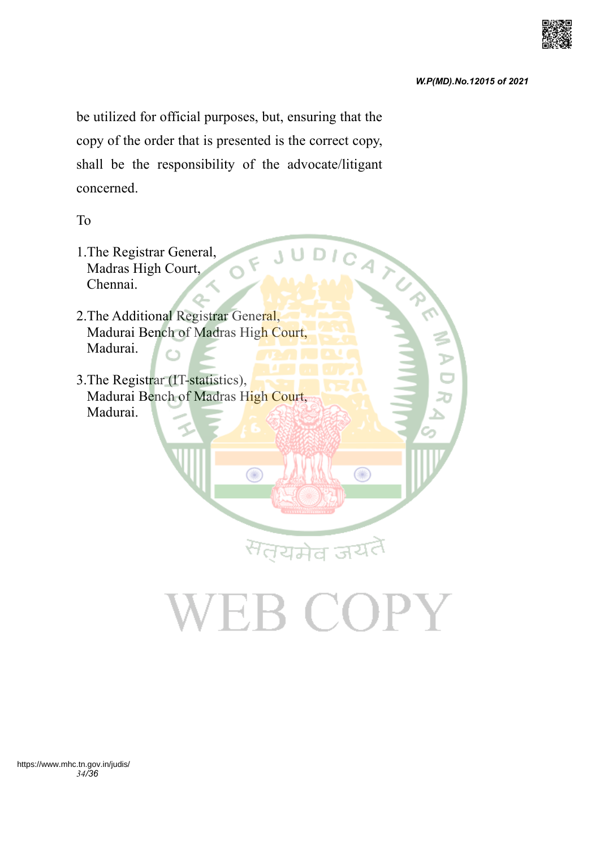be utilized for official purposes, but, ensuring that the copy of the order that is presented is the correct copy, shall be the responsibility of the advocate/litigant concerned.

To



# VEB COPY